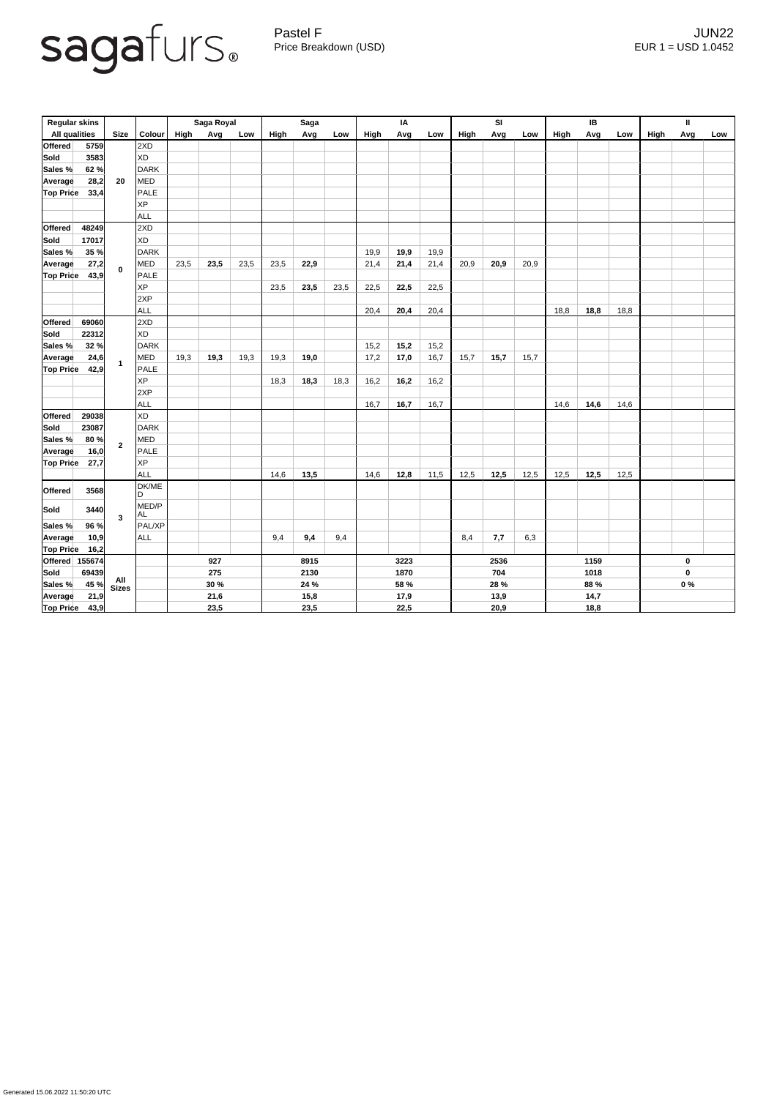

Pastel F Germany and the settlement of the settlement of the settlement of the settlement of the settlement of the settlement of the settlement of the settlement of the settlement of the settlement of the settlement of the Price Breakdown (USD) error and the USD 1.0452

| <b>Regular skins</b> |                                         |                |                    |             | Saga Royal |      | <b>Saga</b> |      |      | IA   |      |      | <b>SI</b> |      |      | IB   |      |      | Ш           |     |     |
|----------------------|-----------------------------------------|----------------|--------------------|-------------|------------|------|-------------|------|------|------|------|------|-----------|------|------|------|------|------|-------------|-----|-----|
| <b>All qualities</b> |                                         | <b>Size</b>    | Colour             | High        | Avg        | Low  | High        | Avg  | Low  | High | Avg  | Low  | High      | Avg  | Low  | High | Avg  | Low  | <b>High</b> | Avg | Low |
| <b>Offered</b>       | 5759                                    |                | 2XD                |             |            |      |             |      |      |      |      |      |           |      |      |      |      |      |             |     |     |
| <b>Sold</b>          | 3583                                    | 20             | <b>XD</b>          |             |            |      |             |      |      |      |      |      |           |      |      |      |      |      |             |     |     |
| Sales %              | 62%                                     |                | DARK               |             |            |      |             |      |      |      |      |      |           |      |      |      |      |      |             |     |     |
| Average              | 28,2                                    |                | <b>MED</b>         |             |            |      |             |      |      |      |      |      |           |      |      |      |      |      |             |     |     |
| <b>Top Price</b>     | 33,4                                    |                | <b>PALE</b>        |             |            |      |             |      |      |      |      |      |           |      |      |      |      |      |             |     |     |
|                      |                                         |                | <b>XP</b>          |             |            |      |             |      |      |      |      |      |           |      |      |      |      |      |             |     |     |
|                      |                                         |                | <b>ALL</b>         |             |            |      |             |      |      |      |      |      |           |      |      |      |      |      |             |     |     |
| <b>Offered</b>       | 48249                                   |                | 2XD                |             |            |      |             |      |      |      |      |      |           |      |      |      |      |      |             |     |     |
| <b>Sold</b>          | 17017                                   | $\mathbf 0$    | <b>XD</b>          |             |            |      |             |      |      |      |      |      |           |      |      |      |      |      |             |     |     |
| Sales %              | 35 %                                    |                | <b>DARK</b>        |             |            |      |             |      |      | 19,9 | 19,9 | 19,9 |           |      |      |      |      |      |             |     |     |
| <b>Average</b>       | 27,2                                    |                | <b>MED</b>         | 23,5        | 23,5       | 23,5 | 23,5        | 22,9 |      | 21,4 | 21,4 | 21,4 | 20,9      | 20,9 | 20,9 |      |      |      |             |     |     |
| <b>Top Price</b>     | 43,9                                    |                | <b>PALE</b>        |             |            |      |             |      |      |      |      |      |           |      |      |      |      |      |             |     |     |
|                      |                                         |                | <b>XP</b>          |             |            |      | 23,5        | 23,5 | 23,5 | 22,5 | 22,5 | 22,5 |           |      |      |      |      |      |             |     |     |
|                      |                                         |                | 2XP                |             |            |      |             |      |      |      |      |      |           |      |      |      |      |      |             |     |     |
|                      |                                         |                | <b>ALL</b>         |             |            |      |             |      |      | 20,4 | 20,4 | 20,4 |           |      |      | 18,8 | 18,8 | 18,8 |             |     |     |
| <b>Offered</b>       | 69060                                   |                | 2XD                |             |            |      |             |      |      |      |      |      |           |      |      |      |      |      |             |     |     |
| <b>Sold</b>          | 22312                                   |                | <b>XD</b>          |             |            |      |             |      |      |      |      |      |           |      |      |      |      |      |             |     |     |
| Sales %              | 32%                                     | $\overline{1}$ | <b>DARK</b>        |             |            |      |             |      |      | 15,2 | 15,2 | 15,2 |           |      |      |      |      |      |             |     |     |
| <b>Average</b>       | 24,6                                    |                | <b>MED</b>         | 19,3        | 19,3       | 19,3 | 19,3        | 19,0 |      | 17,2 | 17,0 | 16,7 | 15,7      | 15,7 | 15,7 |      |      |      |             |     |     |
| <b>Top Price</b>     | 42,9                                    |                | PALE               |             |            |      |             |      |      |      |      |      |           |      |      |      |      |      |             |     |     |
|                      |                                         |                | <b>XP</b>          |             |            |      | 18,3        | 18,3 | 18,3 | 16,2 | 16,2 | 16,2 |           |      |      |      |      |      |             |     |     |
|                      |                                         |                | 2XP                |             |            |      |             |      |      |      |      |      |           |      |      |      |      |      |             |     |     |
|                      |                                         |                | <b>ALL</b>         |             |            |      |             |      |      | 16,7 | 16,7 | 16,7 |           |      |      | 14,6 | 14,6 | 14,6 |             |     |     |
| Offered              | 29038                                   |                | XD                 |             |            |      |             |      |      |      |      |      |           |      |      |      |      |      |             |     |     |
| Sold                 | 23087                                   | $\overline{2}$ | DARK               |             |            |      |             |      |      |      |      |      |           |      |      |      |      |      |             |     |     |
| Sales %              | 80%                                     |                | <b>MED</b>         |             |            |      |             |      |      |      |      |      |           |      |      |      |      |      |             |     |     |
| Average              | 16,0                                    |                | <b>PALE</b>        |             |            |      |             |      |      |      |      |      |           |      |      |      |      |      |             |     |     |
| <b>Top Price</b>     | 27,7                                    |                | <b>XP</b>          |             |            |      |             |      |      |      |      |      |           |      |      |      |      |      |             |     |     |
|                      |                                         |                | <b>ALL</b>         |             |            |      | 14,6        | 13,5 |      | 14,6 | 12,8 | 11,5 | 12,5      | 12,5 | 12,5 | 12,5 | 12,5 | 12,5 |             |     |     |
| <b>Offered</b>       | 3568                                    |                | DK/ME<br>ID.       |             |            |      |             |      |      |      |      |      |           |      |      |      |      |      |             |     |     |
| Sold                 | 3440                                    |                | MED/P<br><b>AL</b> |             |            |      |             |      |      |      |      |      |           |      |      |      |      |      |             |     |     |
| Sales %              | 96 %                                    | $\mathbf{3}$   | PAL/XP             |             |            |      |             |      |      |      |      |      |           |      |      |      |      |      |             |     |     |
| Average              | 10,9                                    |                | <b>ALL</b>         |             |            |      | 9,4         | 9,4  | 9,4  |      |      |      | 8,4       | 7,7  | 6,3  |      |      |      |             |     |     |
| <b>Top Price</b>     | 16,2                                    |                |                    |             |            |      |             |      |      |      |      |      |           |      |      |      |      |      |             |     |     |
|                      | $\left  \text{Official} \right $ 155674 |                |                    | 927         |            |      | 8915        |      |      | 3223 |      |      | 2536      |      |      | 1159 |      |      | $\mathbf 0$ |     |     |
| Sold                 | 69439                                   | All<br>Sizes   |                    | 275         |            |      | 2130        |      |      | 1870 |      |      | 704       |      |      | 1018 |      |      | $\mathbf 0$ |     |     |
| Sales %              | 45 %                                    |                |                    | <b>30 %</b> |            |      | 24 %        |      |      | 58 % |      |      | 28 %      |      |      | 88 % |      |      | $0\%$       |     |     |
| <b>Average</b>       | 21,9                                    |                |                    | 21,6        |            |      | 15,8        |      |      | 17,9 |      |      | 13,9      |      |      | 14,7 |      |      |             |     |     |
| <b>Top Price</b>     | 43,9                                    |                |                    | 23,5        |            |      | 23,5        |      |      | 22,5 |      |      | 20,9      |      |      | 18,8 |      |      |             |     |     |